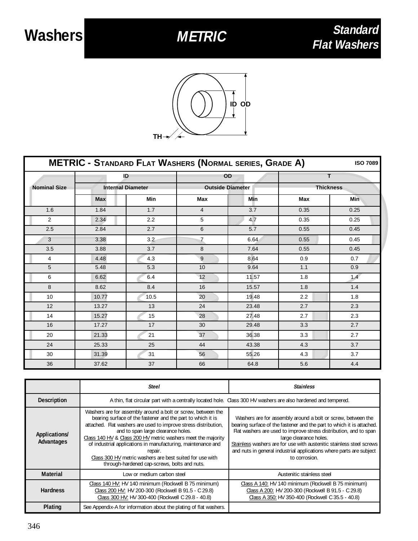

| <b>METRIC - STANDARD FLAT WASHERS (NORMAL SERIES, GRADE A)</b><br><b>ISO 7089</b> |            |                                |                |                         |                  |            |  |
|-----------------------------------------------------------------------------------|------------|--------------------------------|----------------|-------------------------|------------------|------------|--|
|                                                                                   |            | ID<br><b>Internal Diameter</b> |                | OD                      |                  | T.         |  |
| <b>Nominal Size</b>                                                               |            |                                |                | <b>Outside Diameter</b> | <b>Thickness</b> |            |  |
|                                                                                   | <b>Max</b> | Min                            | Max            | <b>Min</b>              | <b>Max</b>       | <b>Min</b> |  |
| 1.6                                                                               | 1.84       | 1.7                            | $\overline{4}$ | 3.7                     | 0.35             | 0.25       |  |
| $\overline{2}$                                                                    | 2.34       | 2.2                            | 5              | 4.7                     | 0.35             | 0.25       |  |
| 2.5                                                                               | 2.84       | 2.7                            | 6              | 5.7                     | 0.55             | 0.45       |  |
| 3                                                                                 | 3.38       | 3.2                            | $\overline{7}$ | 6.64                    | 0.55             | 0.45       |  |
| 3.5                                                                               | 3.88       | 3.7                            | 8              | 7.64                    | 0.55             | 0.45       |  |
| 4                                                                                 | 4.48       | 4.3                            | 9              | 8.64                    | 0.9              | 0.7        |  |
| 5                                                                                 | 5.48       | 5.3                            | 10             | 9.64                    | 1.1              | 0.9        |  |
| 6                                                                                 | 6.62       | 6.4                            | 12             | 11.57                   | 1.8              | 1.4        |  |
| 8                                                                                 | 8.62       | 8.4                            | 16             | 15.57                   | 1.8              | 1.4        |  |
| 10                                                                                | 10.77      | 10.5                           | 20             | 19.48                   | 2.2              | 1.8        |  |
| 12                                                                                | 13.27      | 13                             | 24             | 23.48                   | 2.7              | 2.3        |  |
| 14                                                                                | 15.27      | 15                             | 28             | 27.48                   | 2.7              | 2.3        |  |
| 16                                                                                | 17.27      | 17                             | 30             | 29.48                   | 3.3              | 2.7        |  |
| 20                                                                                | 21.33      | 21                             | 37             | 36.38                   | 3.3              | 2.7        |  |
| 24                                                                                | 25.33      | 25                             | 44             | 43.38                   | 4.3              | 3.7        |  |
| 30                                                                                | 31.39      | 31                             | 56             | 55.26                   | 4.3              | 3.7        |  |
| 36                                                                                | 37.62      | 37                             | 66             | 64.8                    | 5.6              | 4.4        |  |

|                             | Steel                                                                                                                                                                                                                                                                                                                                                                                                                                                                                       | <b>Stainless</b>                                                                                                                                                                                                                                                                                                                                                                                     |  |  |
|-----------------------------|---------------------------------------------------------------------------------------------------------------------------------------------------------------------------------------------------------------------------------------------------------------------------------------------------------------------------------------------------------------------------------------------------------------------------------------------------------------------------------------------|------------------------------------------------------------------------------------------------------------------------------------------------------------------------------------------------------------------------------------------------------------------------------------------------------------------------------------------------------------------------------------------------------|--|--|
| <b>Description</b>          | A thin, flat circular part with a centrally located hole. Class 300 HV washers are also hardened and tempered.                                                                                                                                                                                                                                                                                                                                                                              |                                                                                                                                                                                                                                                                                                                                                                                                      |  |  |
| Applications/<br>Advantages | Washers are for assembly around a bolt or screw, between the<br>bearing surface of the fastener and the part to which it is<br>attached. Flat washers are used to improve stress distribution,<br>and to span large clearance holes.<br>Class 140 HV & Class 200 HV metric washers meet the majority<br>of industrial applications in manufacturing, maintenance and<br>repair.<br>Class 300 HV metric washers are best suited for use with<br>through-hardened cap-screws, bolts and nuts. | Washers are for assembly around a bolt or screw, between the<br>bearing surface of the fastener and the part to which it is attached.<br>Flat washers are used to improve stress distribution, and to span<br>large clearance holes.<br>Stainless washers are for use with austenitic stainless steel screws<br>and nuts in general industrial applications where parts are subject<br>to corrosion. |  |  |
| <b>Material</b>             | Low or medium carbon steel                                                                                                                                                                                                                                                                                                                                                                                                                                                                  | Austenitic stainless steel                                                                                                                                                                                                                                                                                                                                                                           |  |  |
| <b>Hardness</b>             | Class 140 HV: HV 140 minimum (Rockwell B 75 minimum)<br>Class 200 HV: HV 200-300 (Rockwell B 91.5 - C 29.8)<br>Class 300 HV: HV 300-400 (Rockwell C 29.8 - 40.8)                                                                                                                                                                                                                                                                                                                            | Class A 140: HV 140 minimum (Rockwell B 75 minimum)<br>Class A 200: HV 200-300 (Rockwell B 91.5 - C 29.8)<br>Class A 350: HV 350-400 (Rockwell C 35.5 - 40.8)                                                                                                                                                                                                                                        |  |  |
| Plating                     | See Appendix-A for information about the plating of flat washers.                                                                                                                                                                                                                                                                                                                                                                                                                           |                                                                                                                                                                                                                                                                                                                                                                                                      |  |  |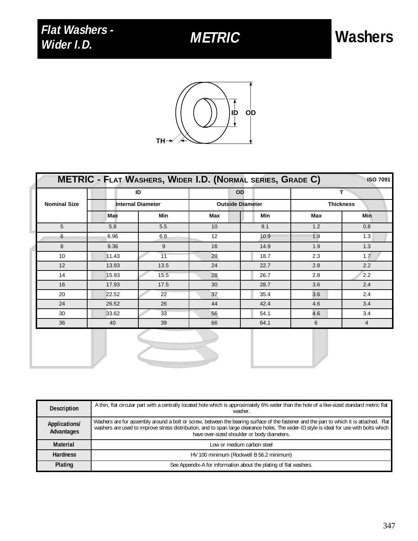

|                     |                                | <b>METRIC - FLAT WASHERS, WIDER I.D. (NORMAL SERIES, GRADE C)</b> |                                      |            |                       | <b>ISO 7091</b> |
|---------------------|--------------------------------|-------------------------------------------------------------------|--------------------------------------|------------|-----------------------|-----------------|
|                     | ID<br><b>Internal Diameter</b> |                                                                   | <b>OD</b><br><b>Outside Diameter</b> |            | т<br><b>Thickness</b> |                 |
| <b>Nominal Size</b> |                                |                                                                   |                                      |            |                       |                 |
|                     | <b>Max</b>                     | Min                                                               | <b>Max</b>                           | <b>Min</b> | <b>Max</b>            | <b>Min</b>      |
| 5                   | 5.8                            | 5.5                                                               | 10                                   | 9.1        | 1.2                   | 0.8             |
| 6                   | 6.96                           | 6.6                                                               | 12                                   | 10.9       | 1.9                   | 1.3             |
| 8                   | 9.36                           | 9                                                                 | 16                                   | 14.9       | 1.9                   | 1.3             |
| 10                  | 11.43                          | 11                                                                | 20                                   | 18.7       | 2.3                   | 1.7             |
| 12                  | 13.93                          | 13.5                                                              | 24                                   | 22.7       | 2.8                   | 2.2             |
| 14                  | 15.93                          | 15.5                                                              | 28                                   | 26.7       | 2.8                   | 2.2             |
| 16                  | 17.93                          | 17.5                                                              | 30                                   | 28.7       | 3.6                   | 2.4             |
| 20                  | 22.52                          | 22                                                                | 37                                   | 35.4       | 3.6                   | 2.4             |
| 24                  | 26.52                          | 26                                                                | 44                                   | 42.4       | 4.6                   | 3.4             |
| 30                  | 33.62                          | 33                                                                | 56                                   | 54.1       | 4.6                   | 3.4             |
| 36                  | 40                             | 39                                                                | 66                                   | 64.1       | 6                     | 4               |
|                     |                                |                                                                   |                                      |            |                       |                 |

| <b>Description</b>          | A thin, flat circular part with a centrally located hole which is approximately 6% wider than the hole of a like-sized standard metric flat<br>washer                                                                                                                                                                              |
|-----------------------------|------------------------------------------------------------------------------------------------------------------------------------------------------------------------------------------------------------------------------------------------------------------------------------------------------------------------------------|
| Applications/<br>Advantages | Washers are for assembly around a bolt or screw, between the bearing surface of the fastener and the part to which it is attached. Flat<br>washers are used to improve stress distribution, and to span large clearance holes. The wider-ID style is ideal for use with bolts which<br>have over-sized shoulder or body diameters. |
| Material                    | Low or medium carbon steel                                                                                                                                                                                                                                                                                                         |
| <b>Hardness</b>             | HV 100 minimum (Rockwell B 56.2 minimum)                                                                                                                                                                                                                                                                                           |
| Plating                     | See Appendix-A for information about the plating of flat washers.                                                                                                                                                                                                                                                                  |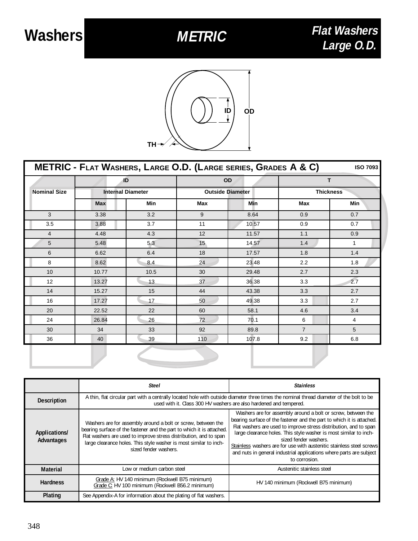

| METRIC - FLAT WASHERS, LARGE O.D. (LARGE SERIES, GRADES A & C)<br><b>ISO 7093</b> |                          |            |                         |            |                  |            |  |
|-----------------------------------------------------------------------------------|--------------------------|------------|-------------------------|------------|------------------|------------|--|
|                                                                                   |                          | ID         |                         | <b>OD</b>  |                  | т          |  |
| <b>Nominal Size</b>                                                               | <b>Internal Diameter</b> |            | <b>Outside Diameter</b> |            | <b>Thickness</b> |            |  |
|                                                                                   | <b>Max</b>               | <b>Min</b> | Max                     | <b>Min</b> | Max              | <b>Min</b> |  |
| 3                                                                                 | 3.38                     | 3.2        | 9                       | 8.64       | 0.9              | 0.7        |  |
| 3.5                                                                               | 3.88                     | 3.7        | 11                      | 10.57      | 0.9              | 0.7        |  |
| 4                                                                                 | 4.48                     | 4.3        | 12                      | 11.57      | 1.1              | 0.9        |  |
| 5                                                                                 | 5.48                     | 5.3        | 15                      | 14.57      | 1.4              | 1          |  |
| 6                                                                                 | 6.62                     | 6.4        | 18                      | 17.57      | 1.8              | 1.4        |  |
| 8                                                                                 | 8.62                     | 8.4        | 24                      | 23.48      | 2.2              | 1.8        |  |
| 10                                                                                | 10.77                    | 10.5       | 30                      | 29.48      | 2.7              | 2.3        |  |
| 12                                                                                | 13.27                    | 13         | 37                      | 36.38      | 3.3              | 2.7        |  |
| 14                                                                                | 15.27                    | 15         | 44                      | 43.38      | 3.3              | 2.7        |  |
| 16                                                                                | 17.27                    | 17         | 50                      | 49.38      | 3.3              | 2.7        |  |
| 20                                                                                | 22.52                    | 22         | 60                      | 58.1       | 4.6              | 3.4        |  |
| 24                                                                                | 26.84                    | 26         | 72                      | 70.1       | 6                | 4          |  |
| 30                                                                                | 34                       | 33         | 92                      | 89.8       | $\overline{7}$   | 5          |  |
| 36                                                                                | 40                       | 39         | 110                     | 107.8      | 9.2              | 6.8        |  |
|                                                                                   |                          |            |                         |            |                  |            |  |

|                             | Steel                                                                                                                                                                                                                                                                                                    | <b>Stainless</b>                                                                                                                                                                                                                                                                                                                                                                                                                                                         |  |  |
|-----------------------------|----------------------------------------------------------------------------------------------------------------------------------------------------------------------------------------------------------------------------------------------------------------------------------------------------------|--------------------------------------------------------------------------------------------------------------------------------------------------------------------------------------------------------------------------------------------------------------------------------------------------------------------------------------------------------------------------------------------------------------------------------------------------------------------------|--|--|
| <b>Description</b>          | A thin, flat circular part with a centrally located hole with outside diameter three times the nominal thread diameter of the bolt to be<br>used with it. Class 300 HV washers are also hardened and tempered.                                                                                           |                                                                                                                                                                                                                                                                                                                                                                                                                                                                          |  |  |
| Applications/<br>Advantages | Washers are for assembly around a bolt or screw, between the<br>bearing surface of the fastener and the part to which it is attached.<br>Flat washers are used to improve stress distribution, and to span<br>large clearance holes. This style washer is most similar to inch-<br>sized fender washers. | Washers are for assembly around a bolt or screw, between the<br>bearing surface of the fastener and the part to which it is attached.<br>Flat washers are used to improve stress distribution, and to span<br>large clearance holes. This style washer is most similar to inch-<br>sized fender washers.<br>Stainless washers are for use with austenitic stainless steel screws<br>and nuts in general industrial applications where parts are subject<br>to corrosion. |  |  |
| <b>Material</b>             | Low or medium carbon steel                                                                                                                                                                                                                                                                               | Austenitic stainless steel                                                                                                                                                                                                                                                                                                                                                                                                                                               |  |  |
| <b>Hardness</b>             | Grade A: HV 140 minimum (Rockwell B75 minimum)<br>Grade C: HV 100 minimum (Rockwell B56.2 minimum)                                                                                                                                                                                                       | HV 140 minimum (Rockwell B75 minimum)                                                                                                                                                                                                                                                                                                                                                                                                                                    |  |  |
| Plating                     | See Appendix-A for information about the plating of flat washers.                                                                                                                                                                                                                                        |                                                                                                                                                                                                                                                                                                                                                                                                                                                                          |  |  |